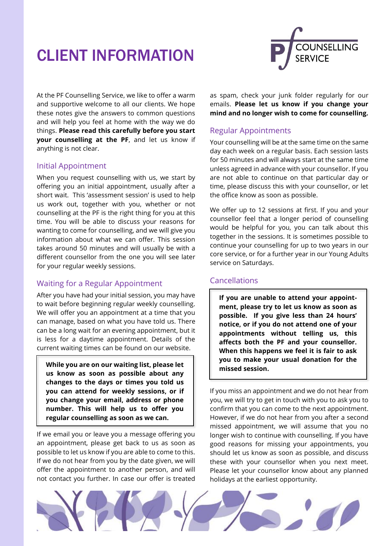# CLIENT INFORMATION



At the PF Counselling Service, we like to offer a warm and supportive welcome to all our clients. We hope these notes give the answers to common questions and will help you feel at home with the way we do things. **Please read this carefully before you start your counselling at the PF**, and let us know if anything is not clear.

## Initial Appointment

When you request counselling with us, we start by offering you an initial appointment, usually after a short wait. This 'assessment session' is used to help us work out, together with you, whether or not counselling at the PF is the right thing for you at this time. You will be able to discuss your reasons for wanting to come for counselling, and we will give you information about what we can offer. This session takes around 50 minutes and will usually be with a different counsellor from the one you will see later for your regular weekly sessions.

# Waiting for a Regular Appointment

After you have had your initial session, you may have to wait before beginning regular weekly counselling. We will offer you an appointment at a time that you can manage, based on what you have told us. There can be a long wait for an evening appointment, but it is less for a daytime appointment. Details of the current waiting times can be found on our website.

**While you are on our waiting list, please let us know as soon as possible about any changes to the days or times you told us you can attend for weekly sessions, or if you change your email, address or phone number. This will help us to offer you regular counselling as soon as we can.** 

If we email you or leave you a message offering you an appointment, please get back to us as soon as possible to let us know if you are able to come to this. If we do not hear from you by the date given, we will offer the appointment to another person, and will not contact you further. In case our offer is treated as spam, check your junk folder regularly for our emails. **Please let us know if you change your mind and no longer wish to come for counselling.** 

# Regular Appointments

Your counselling will be at the same time on the same day each week on a regular basis. Each session lasts for 50 minutes and will always start at the same time unless agreed in advance with your counsellor. If you are not able to continue on that particular day or time, please discuss this with your counsellor, or let the office know as soon as possible.

We offer up to 12 sessions at first. If you and your counsellor feel that a longer period of counselling would be helpful for you, you can talk about this together in the sessions. It is sometimes possible to continue your counselling for up to two years in our core service, or for a further year in our Young Adults service on Saturdays.

# Cancellations

**If you are unable to attend your appointment, please try to let us know as soon as possible. If you give less than 24 hours' notice, or if you do not attend one of your appointments without telling us, this affects both the PF and your counsellor. When this happens we feel it is fair to ask you to make your usual donation for the missed session.** 

If you miss an appointment and we do not hear from you, we will try to get in touch with you to ask you to confirm that you can come to the next appointment. However, if we do not hear from you after a second missed appointment, we will assume that you no longer wish to continue with counselling. If you have good reasons for missing your appointments, you should let us know as soon as possible, and discuss these with your counsellor when you next meet. Please let your counsellor know about any planned holidays at the earliest opportunity.

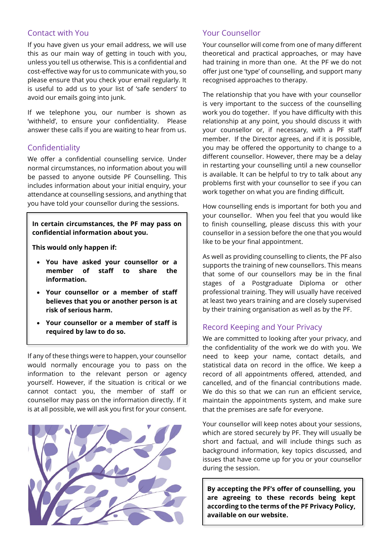## Contact with You

If you have given us your email address, we will use this as our main way of getting in touch with you, unless you tell us otherwise. This is a confidential and cost-effective way for us to communicate with you, so please ensure that you check your email regularly. It is useful to add us to your list of 'safe senders' to avoid our emails going into junk.

If we telephone you, our number is shown as 'withheld', to ensure your confidentiality. Please answer these calls if you are waiting to hear from us.

#### Confidentiality

We offer a confidential counselling service. Under normal circumstances, no information about you will be passed to anyone outside PF Counselling. This includes information about your initial enquiry, your attendance at counselling sessions, and anything that you have told your counsellor during the sessions.

**In certain circumstances, the PF may pass on confidential information about you.** 

**This would only happen if:** 

- **You have asked your counsellor or a member of staff to share the information.**
- **Your counsellor or a member of staff believes that you or another person is at risk of serious harm.**
- **Your counsellor or a member of staff is required by law to do so.**

If any of these things were to happen, your counsellor would normally encourage you to pass on the information to the relevant person or agency yourself. However, if the situation is critical or we cannot contact you, the member of staff or counsellor may pass on the information directly. If it is at all possible, we will ask you first for your consent.



## Your Counsellor

Your counsellor will come from one of many different theoretical and practical approaches, or may have had training in more than one. At the PF we do not offer just one 'type' of counselling, and support many recognised approaches to therapy.

The relationship that you have with your counsellor is very important to the success of the counselling work you do together. If you have difficulty with this relationship at any point, you should discuss it with your counsellor or, if necessary, with a PF staff member. If the Director agrees, and if it is possible, you may be offered the opportunity to change to a different counsellor. However, there may be a delay in restarting your counselling until a new counsellor is available. It can be helpful to try to talk about any problems first with your counsellor to see if you can work together on what you are finding difficult.

How counselling ends is important for both you and your counsellor. When you feel that you would like to finish counselling, please discuss this with your counsellor in a session before the one that you would like to be your final appointment.

As well as providing counselling to clients, the PF also supports the training of new counsellors. This means that some of our counsellors may be in the final stages of a Postgraduate Diploma or other professional training. They will usually have received at least two years training and are closely supervised by their training organisation as well as by the PF.

## Record Keeping and Your Privacy

We are committed to looking after your privacy, and the confidentiality of the work we do with you. We need to keep your name, contact details, and statistical data on record in the office. We keep a record of all appointments offered, attended, and cancelled, and of the financial contributions made. We do this so that we can run an efficient service, maintain the appointments system, and make sure that the premises are safe for everyone.

Your counsellor will keep notes about your sessions, which are stored securely by PF. They will usually be short and factual, and will include things such as background information, key topics discussed, and issues that have come up for you or your counsellor during the session.

**By accepting the PF's offer of counselling, you are agreeing to these records being kept according to the terms of the PF Privacy Policy, available on our website.**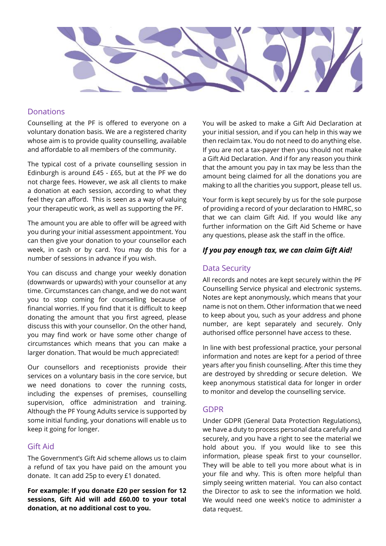

## **Donations**

Counselling at the PF is offered to everyone on a voluntary donation basis. We are a registered charity whose aim is to provide quality counselling, available and affordable to all members of the community.

The typical cost of a private counselling session in Edinburgh is around £45 - £65, but at the PF we do not charge fees. However, we ask all clients to make a donation at each session, according to what they feel they can afford. This is seen as a way of valuing your therapeutic work, as well as supporting the PF.

The amount you are able to offer will be agreed with you during your initial assessment appointment. You can then give your donation to your counsellor each week, in cash or by card. You may do this for a number of sessions in advance if you wish.

You can discuss and change your weekly donation (downwards or upwards) with your counsellor at any time. Circumstances can change, and we do not want you to stop coming for counselling because of financial worries. If you find that it is difficult to keep donating the amount that you first agreed, please discuss this with your counsellor. On the other hand, you may find work or have some other change of circumstances which means that you can make a larger donation. That would be much appreciated!

Our counsellors and receptionists provide their services on a voluntary basis in the core service, but we need donations to cover the running costs, including the expenses of premises, counselling supervision, office administration and training. Although the PF Young Adults service is supported by some initial funding, your donations will enable us to keep it going for longer.

## Gift Aid

The Government's Gift Aid scheme allows us to claim a refund of tax you have paid on the amount you donate. It can add 25p to every £1 donated.

**For example: If you donate £20 per session for 12 sessions, Gift Aid will add £60.00 to your total donation, at no additional cost to you.** 

You will be asked to make a Gift Aid Declaration at your initial session, and if you can help in this way we then reclaim tax. You do not need to do anything else. If you are not a tax-payer then you should not make a Gift Aid Declaration. And if for any reason you think that the amount you pay in tax may be less than the amount being claimed for all the donations you are making to all the charities you support, please tell us.

Your form is kept securely by us for the sole purpose of providing a record of your declaration to HMRC, so that we can claim Gift Aid. If you would like any further information on the Gift Aid Scheme or have any questions, please ask the staff in the office.

#### *If you pay enough tax, we can claim Gift Aid!*

## Data Security

All records and notes are kept securely within the PF Counselling Service physical and electronic systems. Notes are kept anonymously, which means that your name is not on them. Other information that we need to keep about you, such as your address and phone number, are kept separately and securely. Only authorised office personnel have access to these.

In line with best professional practice, your personal information and notes are kept for a period of three years after you finish counselling. After this time they are destroyed by shredding or secure deletion. We keep anonymous statistical data for longer in order to monitor and develop the counselling service.

#### GDPR

Under GDPR (General Data Protection Regulations), we have a duty to process personal data carefully and securely, and you have a right to see the material we hold about you. If you would like to see this information, please speak first to your counsellor. They will be able to tell you more about what is in your file and why. This is often more helpful than simply seeing written material. You can also contact the Director to ask to see the information we hold. We would need one week's notice to administer a data request.